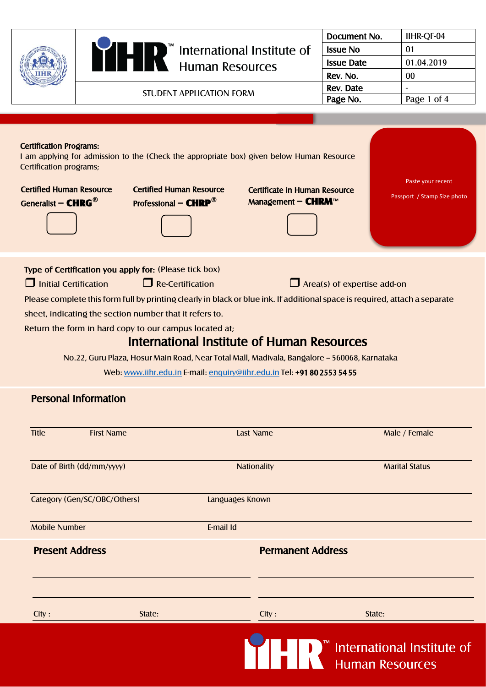|                                                                                                                                                                                                                                                                                                                                                                                                                                                  |                                                                                                                                                                                                                                                                                                                                                                                                                                                                                                                                                                                                                                             |                                           |                                 | Document No.      | IIHR-QF-04      |                       |  |
|--------------------------------------------------------------------------------------------------------------------------------------------------------------------------------------------------------------------------------------------------------------------------------------------------------------------------------------------------------------------------------------------------------------------------------------------------|---------------------------------------------------------------------------------------------------------------------------------------------------------------------------------------------------------------------------------------------------------------------------------------------------------------------------------------------------------------------------------------------------------------------------------------------------------------------------------------------------------------------------------------------------------------------------------------------------------------------------------------------|-------------------------------------------|---------------------------------|-------------------|-----------------|-----------------------|--|
|                                                                                                                                                                                                                                                                                                                                                                                                                                                  |                                                                                                                                                                                                                                                                                                                                                                                                                                                                                                                                                                                                                                             |                                           |                                 |                   | <b>Issue No</b> | 01                    |  |
|                                                                                                                                                                                                                                                                                                                                                                                                                                                  |                                                                                                                                                                                                                                                                                                                                                                                                                                                                                                                                                                                                                                             | Human Resources                           |                                 | <b>Issue Date</b> | 01.04.2019      |                       |  |
|                                                                                                                                                                                                                                                                                                                                                                                                                                                  |                                                                                                                                                                                                                                                                                                                                                                                                                                                                                                                                                                                                                                             |                                           |                                 |                   | Rev. No.        | $00\,$                |  |
|                                                                                                                                                                                                                                                                                                                                                                                                                                                  |                                                                                                                                                                                                                                                                                                                                                                                                                                                                                                                                                                                                                                             |                                           |                                 |                   | Rev. Date       |                       |  |
|                                                                                                                                                                                                                                                                                                                                                                                                                                                  |                                                                                                                                                                                                                                                                                                                                                                                                                                                                                                                                                                                                                                             |                                           | <b>STUDENT APPLICATION FORM</b> |                   | Page No.        | Page 1 of 4           |  |
|                                                                                                                                                                                                                                                                                                                                                                                                                                                  |                                                                                                                                                                                                                                                                                                                                                                                                                                                                                                                                                                                                                                             |                                           |                                 |                   |                 |                       |  |
|                                                                                                                                                                                                                                                                                                                                                                                                                                                  |                                                                                                                                                                                                                                                                                                                                                                                                                                                                                                                                                                                                                                             |                                           |                                 |                   |                 |                       |  |
| <b>Certification Programs:</b><br>I am applying for admission to the (Check the appropriate box) given below Human Resource<br>Certification programs;<br>Paste your recent<br><b>Certified Human Resource</b><br><b>Certified Human Resource</b><br><b>Certificate in Human Resource</b><br>Passport / Stamp Size photo<br>Generalist - CHRG <sup>®</sup><br><b>Professional - CHRP<sup>®</sup></b><br>Management $-$ <b>CHRM</b> <sup>TM</sup> |                                                                                                                                                                                                                                                                                                                                                                                                                                                                                                                                                                                                                                             |                                           |                                 |                   |                 |                       |  |
|                                                                                                                                                                                                                                                                                                                                                                                                                                                  | Type of Certification you apply for: (Please tick box)<br>$\Box$ Initial Certification<br>$\Box$ Re-Certification<br>$\Box$ Area(s) of expertise add-on<br>Please complete this form full by printing clearly in black or blue ink. If additional space is required, attach a separate<br>sheet, indicating the section number that it refers to.<br>Return the form in hard copy to our campus located at;<br><b>International Institute of Human Resources</b><br>No.22, Guru Plaza, Hosur Main Road, Near Total Mall, Madivala, Bangalore - 560068, Karnataka<br>Web: www.iihr.edu.in E-mail: enquiry@iihr.edu.in Tel: +91 80 2553 54 55 |                                           |                                 |                   |                 |                       |  |
|                                                                                                                                                                                                                                                                                                                                                                                                                                                  |                                                                                                                                                                                                                                                                                                                                                                                                                                                                                                                                                                                                                                             | <b>Personal Information</b>               |                                 |                   |                 |                       |  |
|                                                                                                                                                                                                                                                                                                                                                                                                                                                  | <b>Title</b>                                                                                                                                                                                                                                                                                                                                                                                                                                                                                                                                                                                                                                | <b>First Name</b>                         |                                 | <b>Last Name</b>  |                 | Male / Female         |  |
|                                                                                                                                                                                                                                                                                                                                                                                                                                                  |                                                                                                                                                                                                                                                                                                                                                                                                                                                                                                                                                                                                                                             | Date of Birth (dd/mm/yyyy)<br>Nationality |                                 |                   |                 | <b>Marital Status</b> |  |
|                                                                                                                                                                                                                                                                                                                                                                                                                                                  |                                                                                                                                                                                                                                                                                                                                                                                                                                                                                                                                                                                                                                             | Category (Gen/SC/OBC/Others)              | Languages Known                 |                   |                 |                       |  |
|                                                                                                                                                                                                                                                                                                                                                                                                                                                  | <b>Mobile Number</b>                                                                                                                                                                                                                                                                                                                                                                                                                                                                                                                                                                                                                        |                                           | E-mail Id                       |                   |                 |                       |  |
|                                                                                                                                                                                                                                                                                                                                                                                                                                                  | <b>Present Address</b>                                                                                                                                                                                                                                                                                                                                                                                                                                                                                                                                                                                                                      |                                           | <b>Permanent Address</b>        |                   |                 |                       |  |
|                                                                                                                                                                                                                                                                                                                                                                                                                                                  | City:                                                                                                                                                                                                                                                                                                                                                                                                                                                                                                                                                                                                                                       | State:                                    |                                 | City:             | State:          |                       |  |

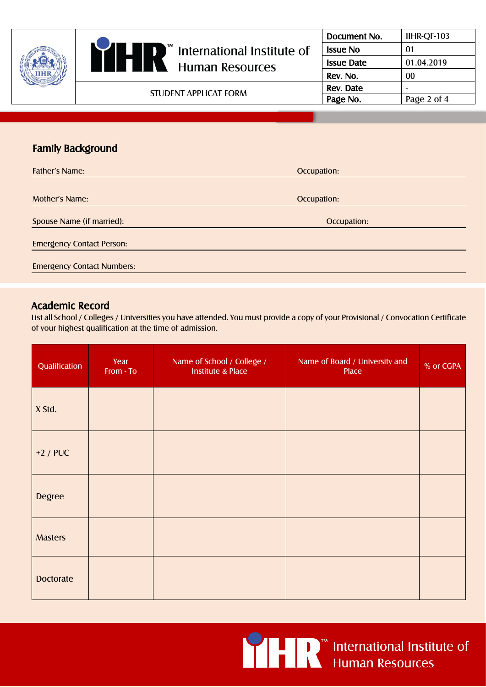|  |                                                                     | Document No.      | IIHR-QF-103 |
|--|---------------------------------------------------------------------|-------------------|-------------|
|  | $\mathbb{I}$ International Institute of<br>$\overline{\phantom{a}}$ | <b>Issue No</b>   | 01          |
|  | <b>Human Resources</b>                                              | <b>Issue Date</b> | 01.04.2019  |
|  |                                                                     | Rev. No.          | 00          |
|  |                                                                     | Rev. Date         |             |
|  | STUDENT APPLICAT FORM                                               | Page No.          | Page 2 of 4 |

# Family Background

| <b>Father's Name:</b>             | Occupation: |
|-----------------------------------|-------------|
|                                   |             |
| <b>Mother's Name:</b>             | Occupation: |
| Spouse Name (if married):         | Occupation: |
| <b>Emergency Contact Person:</b>  |             |
| <b>Emergency Contact Numbers:</b> |             |

### Academic Record

List all School / Colleges / Universities you have attended. You must provide a copy of your Provisional / Convocation Certificate of your highest qualification at the time of admission.

| Qualification    | Year<br>From - To | Name of School / College /<br><b>Institute &amp; Place</b> | Name of Board / University and<br>Place | % or CGPA |
|------------------|-------------------|------------------------------------------------------------|-----------------------------------------|-----------|
| X Std.           |                   |                                                            |                                         |           |
| $+2$ / PUC       |                   |                                                            |                                         |           |
| <b>Degree</b>    |                   |                                                            |                                         |           |
| <b>Masters</b>   |                   |                                                            |                                         |           |
| <b>Doctorate</b> |                   |                                                            |                                         |           |



■ I D I M International Institute of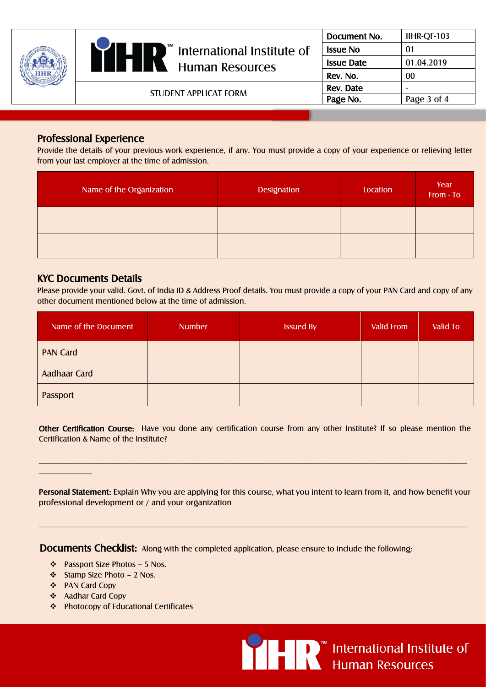|  | Ш<br>ID<br>$\mathbb{I}^{\mathbb{I}}$ International Institute of<br>I V<br><b>Human Resources</b> | Document No.      | IIHR-QF-103 |
|--|--------------------------------------------------------------------------------------------------|-------------------|-------------|
|  |                                                                                                  | <b>Issue No</b>   | -01         |
|  |                                                                                                  | <b>Issue Date</b> | 01.04.2019  |
|  |                                                                                                  | Rev. No.          | 00          |
|  | STUDENT APPLICAT FORM                                                                            | Rev. Date         |             |
|  |                                                                                                  | Page No.          | Page 3 of 4 |

### Professional Experience

Provide the details of your previous work experience, if any. You must provide a copy of your experience or relieving letter from your last employer at the time of admission.

| Name of the Organization | <b>Designation</b> | Location | Year<br>From - To |
|--------------------------|--------------------|----------|-------------------|
|                          |                    |          |                   |
|                          |                    |          |                   |

#### KYC Documents Details

Please provide your valid. Govt. of India ID & Address Proof details. You must provide a copy of your PAN Card and copy of any other document mentioned below at the time of admission.

| Name of the Document | <b>Number</b> | <b>Issued By</b> | Valid From | <b>Valid To</b> |
|----------------------|---------------|------------------|------------|-----------------|
| <b>PAN Card</b>      |               |                  |            |                 |
| <b>Aadhaar Card</b>  |               |                  |            |                 |
| Passport             |               |                  |            |                 |

Other Certification Course: Have you done any certification course from any other Institute? If so please mention the Certification & Name of the Institute?

 $\_$  , and the set of the set of the set of the set of the set of the set of the set of the set of the set of the set of the set of the set of the set of the set of the set of the set of the set of the set of the set of th

Personal Statement: Explain Why you are applying for this course, what you intent to learn from it, and how benefit your professional development or / and your organization

 $\_$  , and the set of the set of the set of the set of the set of the set of the set of the set of the set of the set of the set of the set of the set of the set of the set of the set of the set of the set of the set of th

Documents Checklist: Along with the completed application, please ensure to include the following;

- ❖ Passport Size Photos 5 Nos.
- ❖ Stamp Size Photo 2 Nos.
- ❖ PAN Card Copy

\_\_\_\_\_\_\_\_\_\_\_\_\_

- ❖ Aadhar Card Copy
- ❖ Photocopy of Educational Certificates



<u>O</u> LE D<sup>™</sup> International Institute of